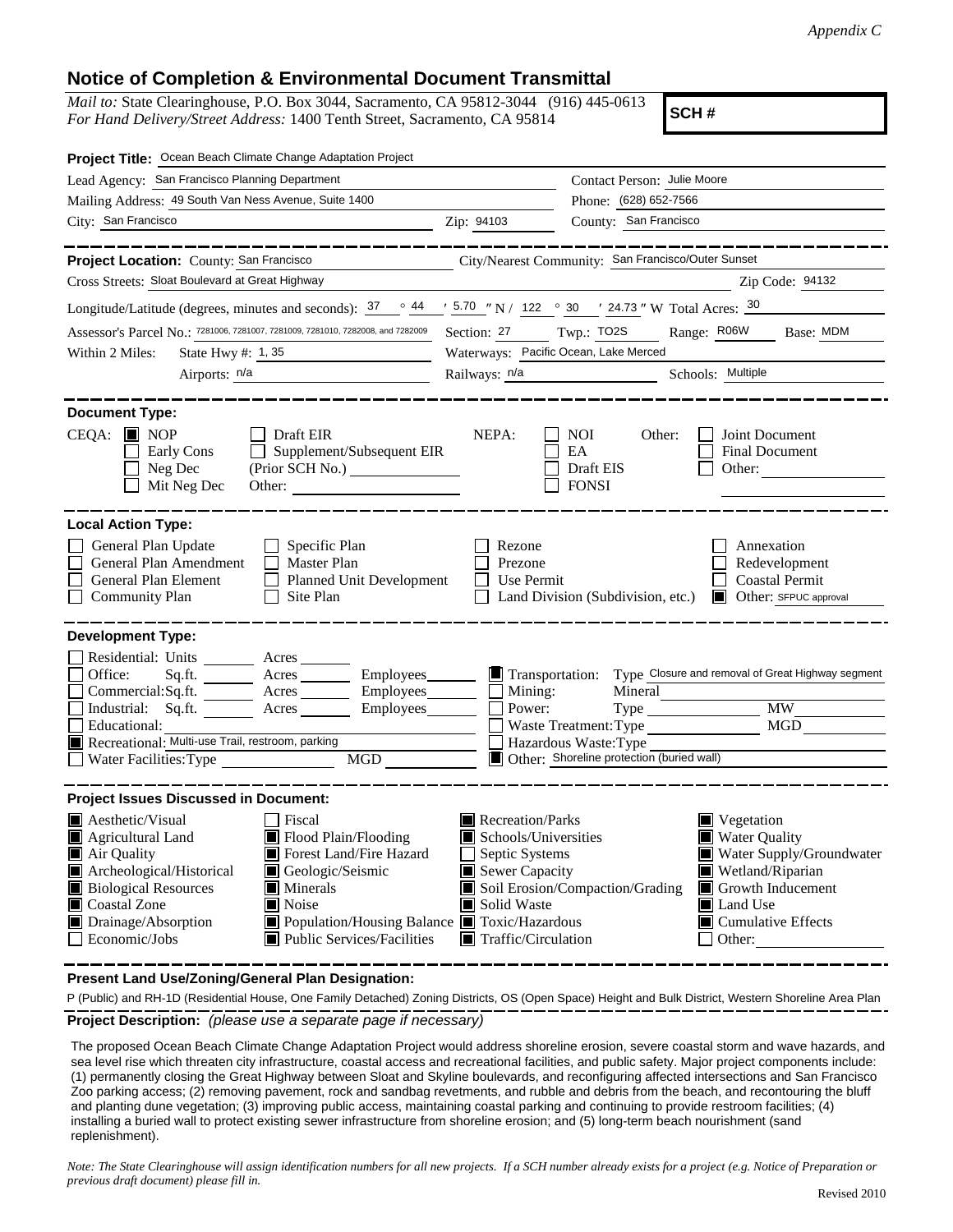## **Notice of Completion & Environmental Document Transmittal**

*Mail to:* State Clearinghouse, P.O. Box 3044, Sacramento, CA 95812-3044 (916) 445-0613 *For Hand Delivery/Street Address:* 1400 Tenth Street, Sacramento, CA 95814

**SCH #**

| Project Title: Ocean Beach Climate Change Adaptation Project                                                                                                                                                                                                                                                                                                                                                                   |                                                                                                                                                                 |                                                                                                                                                                                                                                       |  |
|--------------------------------------------------------------------------------------------------------------------------------------------------------------------------------------------------------------------------------------------------------------------------------------------------------------------------------------------------------------------------------------------------------------------------------|-----------------------------------------------------------------------------------------------------------------------------------------------------------------|---------------------------------------------------------------------------------------------------------------------------------------------------------------------------------------------------------------------------------------|--|
| Lead Agency: San Francisco Planning Department                                                                                                                                                                                                                                                                                                                                                                                 |                                                                                                                                                                 | Contact Person: Julie Moore<br>Phone: (628) 652-7566<br>County: San Francisco                                                                                                                                                         |  |
| Mailing Address: 49 South Van Ness Avenue, Suite 1400                                                                                                                                                                                                                                                                                                                                                                          |                                                                                                                                                                 |                                                                                                                                                                                                                                       |  |
| City: San Francisco<br>Zip: 94103                                                                                                                                                                                                                                                                                                                                                                                              |                                                                                                                                                                 |                                                                                                                                                                                                                                       |  |
| Project Location: County: San Francisco<br>Cross Streets: Sloat Boulevard at Great Highway                                                                                                                                                                                                                                                                                                                                     |                                                                                                                                                                 | City/Nearest Community: San Francisco/Outer Sunset<br>Zip Code: 94132                                                                                                                                                                 |  |
|                                                                                                                                                                                                                                                                                                                                                                                                                                |                                                                                                                                                                 |                                                                                                                                                                                                                                       |  |
| Longitude/Latitude (degrees, minutes and seconds): $37 \degree$ 44 $\degree$ 5.70 "N / 122 $\degree$ 30 ' 24.73 " W Total Acres: $30$                                                                                                                                                                                                                                                                                          |                                                                                                                                                                 |                                                                                                                                                                                                                                       |  |
| Assessor's Parcel No.: 7281006, 7281007, 7281009, 7281010, 7282008, and 7282009                                                                                                                                                                                                                                                                                                                                                | Section: 27<br>Waterways: Pacific Ocean, Lake Merced                                                                                                            | Twp.: TO2S<br>Range: R06W<br>Base: MDM                                                                                                                                                                                                |  |
| Within 2 Miles:<br>State Hwy #: 1, 35<br>Airports: n/a                                                                                                                                                                                                                                                                                                                                                                         |                                                                                                                                                                 |                                                                                                                                                                                                                                       |  |
|                                                                                                                                                                                                                                                                                                                                                                                                                                | Railways: $n/a$                                                                                                                                                 | Schools: Multiple                                                                                                                                                                                                                     |  |
| <b>Document Type:</b>                                                                                                                                                                                                                                                                                                                                                                                                          |                                                                                                                                                                 |                                                                                                                                                                                                                                       |  |
| $CEQA:$ MOP<br>$\Box$ Draft EIR<br>$\Box$ Supplement/Subsequent EIR<br>Early Cons<br>Neg Dec<br>Mit Neg Dec<br>Other:                                                                                                                                                                                                                                                                                                          | NEPA:                                                                                                                                                           | Joint Document<br>NOI.<br>Other:<br>EA<br><b>Final Document</b><br>Draft EIS<br>Other:<br><b>FONSI</b>                                                                                                                                |  |
| <b>Local Action Type:</b>                                                                                                                                                                                                                                                                                                                                                                                                      |                                                                                                                                                                 |                                                                                                                                                                                                                                       |  |
| General Plan Update<br>$\Box$ Specific Plan<br>General Plan Amendment<br>$\Box$ Master Plan<br>General Plan Element<br>Planned Unit Development<br>$\Box$ Site Plan<br><b>Community Plan</b>                                                                                                                                                                                                                                   | Rezone<br>Prezone<br>Use Permit                                                                                                                                 | Annexation<br>Redevelopment<br><b>Coastal Permit</b><br>□ Land Division (Subdivision, etc.) ■ Other: SFPUC approval                                                                                                                   |  |
| <b>Development Type:</b>                                                                                                                                                                                                                                                                                                                                                                                                       |                                                                                                                                                                 |                                                                                                                                                                                                                                       |  |
| Residential: Units ________ Acres _____<br>Office:<br>Commercial:Sq.ft. ________ Acres _________ Employees ________ __ Mining:<br>Industrial: Sq.ft. <u>Acres</u> Acres Employees<br>Educational:<br>Recreational: Multi-use Trail, restroom, parking<br>Water Facilities: Type<br>MGD FOR THE STATE OF THE STATE OF THE STATE OF THE STATE OF THE STATE OF THE STATE OF THE STATE OF THE STATE O                              | Power:                                                                                                                                                          | Mineral<br><b>MW</b><br>MGD<br>Waste Treatment: Type<br>Hazardous Waste: Type<br>Other: Shoreline protection (buried wall)                                                                                                            |  |
| <b>Project Issues Discussed in Document:</b>                                                                                                                                                                                                                                                                                                                                                                                   |                                                                                                                                                                 |                                                                                                                                                                                                                                       |  |
| <b>Aesthetic/Visual</b><br>Fiscal<br>Flood Plain/Flooding<br>$\blacksquare$ Agricultural Land<br>Air Quality<br>Forest Land/Fire Hazard<br>Geologic/Seismic<br>Archeological/Historical<br><b>Biological Resources</b><br>$\blacksquare$ Minerals<br><b>Coastal Zone</b><br>$\blacksquare$ Noise<br>Drainage/Absorption<br>Population/Housing Balance Toxic/Hazardous<br>Economic/Jobs<br><b>II</b> Public Services/Facilities | Recreation/Parks<br>$\blacksquare$ Schools/Universities<br>Septic Systems<br>$\blacksquare$ Sewer Capacity<br>Solid Waste<br>$\blacksquare$ Traffic/Circulation | $\blacksquare$ Vegetation<br>■ Water Quality<br>Water Supply/Groundwater<br>Wetland/Riparian<br>Soil Erosion/Compaction/Grading<br>Growth Inducement<br>$\blacksquare$ Land Use<br>$\blacksquare$ Cumulative Effects<br>$\Box$ Other: |  |

**Present Land Use/Zoning/General Plan Designation:**

**Project Description:** *(please use a separate page if necessary)* P (Public) and RH-1D (Residential House, One Family Detached) Zoning Districts, OS (Open Space) Height and Bulk District, Western Shoreline Area Plan

 The proposed Ocean Beach Climate Change Adaptation Project would address shoreline erosion, severe coastal storm and wave hazards, and sea level rise which threaten city infrastructure, coastal access and recreational facilities, and public safety. Major project components include: (1) permanently closing the Great Highway between Sloat and Skyline boulevards, and reconfiguring affected intersections and San Francisco Zoo parking access; (2) removing pavement, rock and sandbag revetments, and rubble and debris from the beach, and recontouring the bluff and planting dune vegetation; (3) improving public access, maintaining coastal parking and continuing to provide restroom facilities; (4) installing a buried wall to protect existing sewer infrastructure from shoreline erosion; and (5) long-term beach nourishment (sand replenishment).

*Note: The State Clearinghouse will assign identification numbers for all new projects. If a SCH number already exists for a project (e.g. Notice of Preparation or previous draft document) please fill in.*